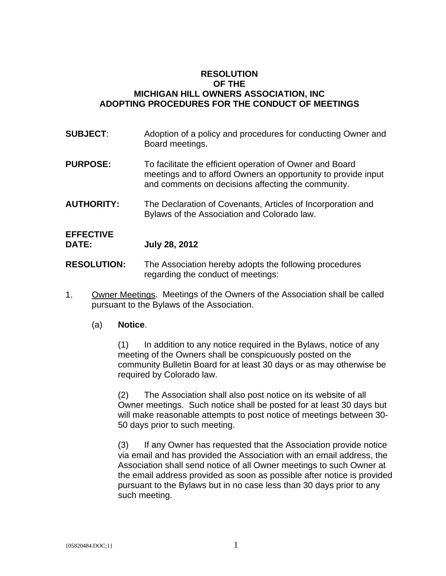#### **RESOLUTION OF THE MICHIGAN HILL OWNERS ASSOCIATION, INC ADOPTING PROCEDURES FOR THE CONDUCT OF MEETINGS**

- **SUBJECT:** Adoption of a policy and procedures for conducting Owner and Board meetings.
- **PURPOSE:** To facilitate the efficient operation of Owner and Board meetings and to afford Owners an opportunity to provide input and comments on decisions affecting the community.
- **AUTHORITY:** The Declaration of Covenants, Articles of Incorporation and Bylaws of the Association and Colorado law.

# **EFFECTIVE**

**DATE: July 28, 2012** 

- **RESOLUTION:** The Association hereby adopts the following procedures regarding the conduct of meetings:
- 1. Owner Meetings. Meetings of the Owners of the Association shall be called pursuant to the Bylaws of the Association.

#### (a) **Notice**.

(1) In addition to any notice required in the Bylaws, notice of any meeting of the Owners shall be conspicuously posted on the community Bulletin Board for at least 30 days or as may otherwise be required by Colorado law.

(2) The Association shall also post notice on its website of all Owner meetings. Such notice shall be posted for at least 30 days but will make reasonable attempts to post notice of meetings between 30- 50 days prior to such meeting.

(3) If any Owner has requested that the Association provide notice via email and has provided the Association with an email address, the Association shall send notice of all Owner meetings to such Owner at the email address provided as soon as possible after notice is provided pursuant to the Bylaws but in no case less than 30 days prior to any such meeting.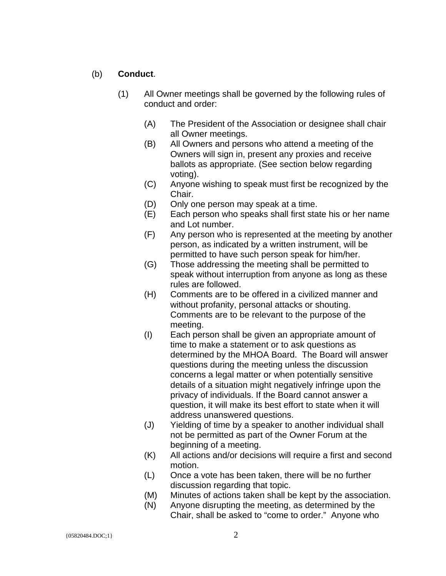#### (b) **Conduct**.

- (1) All Owner meetings shall be governed by the following rules of conduct and order:
	- (A) The President of the Association or designee shall chair all Owner meetings.
	- (B) All Owners and persons who attend a meeting of the Owners will sign in, present any proxies and receive ballots as appropriate. (See section below regarding voting).
	- (C) Anyone wishing to speak must first be recognized by the Chair.
	- (D) Only one person may speak at a time.
	- (E) Each person who speaks shall first state his or her name and Lot number.
	- (F) Any person who is represented at the meeting by another person, as indicated by a written instrument, will be permitted to have such person speak for him/her.
	- (G) Those addressing the meeting shall be permitted to speak without interruption from anyone as long as these rules are followed.
	- (H) Comments are to be offered in a civilized manner and without profanity, personal attacks or shouting. Comments are to be relevant to the purpose of the meeting.
	- (I) Each person shall be given an appropriate amount of time to make a statement or to ask questions as determined by the MHOA Board. The Board will answer questions during the meeting unless the discussion concerns a legal matter or when potentially sensitive details of a situation might negatively infringe upon the privacy of individuals. If the Board cannot answer a question, it will make its best effort to state when it will address unanswered questions.
	- (J) Yielding of time by a speaker to another individual shall not be permitted as part of the Owner Forum at the beginning of a meeting.
	- (K) All actions and/or decisions will require a first and second motion.
	- (L) Once a vote has been taken, there will be no further discussion regarding that topic.
	- (M) Minutes of actions taken shall be kept by the association.
	- (N) Anyone disrupting the meeting, as determined by the Chair, shall be asked to "come to order." Anyone who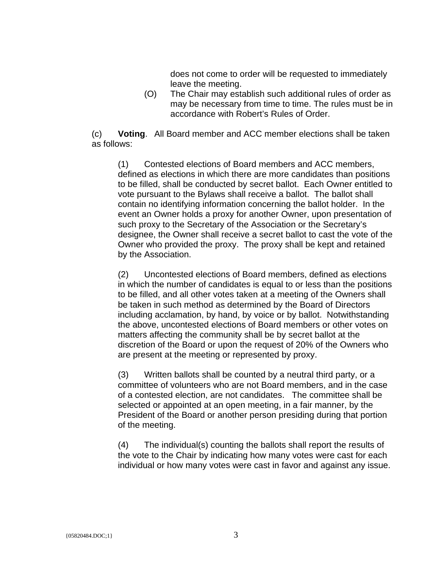does not come to order will be requested to immediately leave the meeting.

(O) The Chair may establish such additional rules of order as may be necessary from time to time. The rules must be in accordance with Robert's Rules of Order.

(c) **Voting**. All Board member and ACC member elections shall be taken as follows:

(1) Contested elections of Board members and ACC members, defined as elections in which there are more candidates than positions to be filled, shall be conducted by secret ballot. Each Owner entitled to vote pursuant to the Bylaws shall receive a ballot. The ballot shall contain no identifying information concerning the ballot holder. In the event an Owner holds a proxy for another Owner, upon presentation of such proxy to the Secretary of the Association or the Secretary's designee, the Owner shall receive a secret ballot to cast the vote of the Owner who provided the proxy. The proxy shall be kept and retained by the Association.

(2) Uncontested elections of Board members, defined as elections in which the number of candidates is equal to or less than the positions to be filled, and all other votes taken at a meeting of the Owners shall be taken in such method as determined by the Board of Directors including acclamation, by hand, by voice or by ballot. Notwithstanding the above, uncontested elections of Board members or other votes on matters affecting the community shall be by secret ballot at the discretion of the Board or upon the request of 20% of the Owners who are present at the meeting or represented by proxy.

(3) Written ballots shall be counted by a neutral third party, or a committee of volunteers who are not Board members, and in the case of a contested election, are not candidates. The committee shall be selected or appointed at an open meeting, in a fair manner, by the President of the Board or another person presiding during that portion of the meeting.

(4) The individual(s) counting the ballots shall report the results of the vote to the Chair by indicating how many votes were cast for each individual or how many votes were cast in favor and against any issue.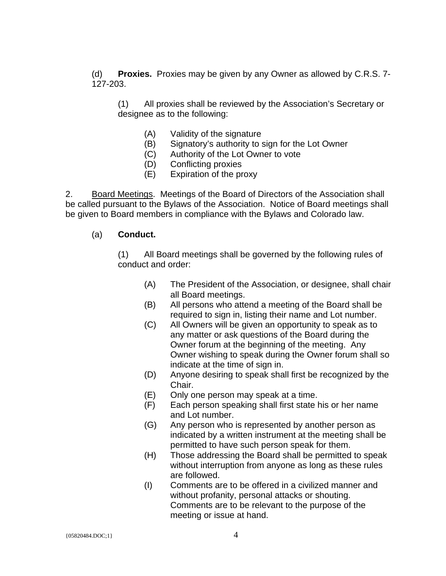(d) **Proxies.** Proxies may be given by any Owner as allowed by C.R.S. 7- 127-203.

(1) All proxies shall be reviewed by the Association's Secretary or designee as to the following:

- (A) Validity of the signature
- (B) Signatory's authority to sign for the Lot Owner
- (C) Authority of the Lot Owner to vote
- (D) Conflicting proxies
- (E) Expiration of the proxy

2. Board Meetings. Meetings of the Board of Directors of the Association shall be called pursuant to the Bylaws of the Association. Notice of Board meetings shall be given to Board members in compliance with the Bylaws and Colorado law.

#### (a) **Conduct.**

(1) All Board meetings shall be governed by the following rules of conduct and order:

- (A) The President of the Association, or designee, shall chair all Board meetings.
- (B) All persons who attend a meeting of the Board shall be required to sign in, listing their name and Lot number.
- (C) All Owners will be given an opportunity to speak as to any matter or ask questions of the Board during the Owner forum at the beginning of the meeting. Any Owner wishing to speak during the Owner forum shall so indicate at the time of sign in.
- (D) Anyone desiring to speak shall first be recognized by the Chair.
- (E) Only one person may speak at a time.
- (F) Each person speaking shall first state his or her name and Lot number.
- (G) Any person who is represented by another person as indicated by a written instrument at the meeting shall be permitted to have such person speak for them.
- (H) Those addressing the Board shall be permitted to speak without interruption from anyone as long as these rules are followed.
- (I) Comments are to be offered in a civilized manner and without profanity, personal attacks or shouting. Comments are to be relevant to the purpose of the meeting or issue at hand.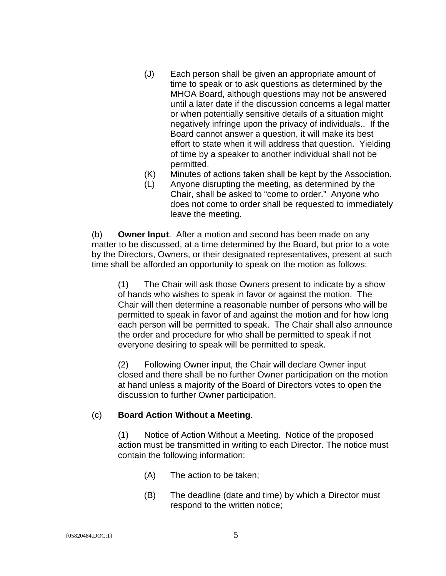- (J) Each person shall be given an appropriate amount of time to speak or to ask questions as determined by the MHOA Board, although questions may not be answered until a later date if the discussion concerns a legal matter or when potentially sensitive details of a situation might negatively infringe upon the privacy of individuals.. If the Board cannot answer a question, it will make its best effort to state when it will address that question. Yielding of time by a speaker to another individual shall not be permitted.
- (K) Minutes of actions taken shall be kept by the Association.
- (L) Anyone disrupting the meeting, as determined by the Chair, shall be asked to "come to order." Anyone who does not come to order shall be requested to immediately leave the meeting.

(b) **Owner Input**. After a motion and second has been made on any matter to be discussed, at a time determined by the Board, but prior to a vote by the Directors, Owners, or their designated representatives, present at such time shall be afforded an opportunity to speak on the motion as follows:

(1) The Chair will ask those Owners present to indicate by a show of hands who wishes to speak in favor or against the motion. The Chair will then determine a reasonable number of persons who will be permitted to speak in favor of and against the motion and for how long each person will be permitted to speak. The Chair shall also announce the order and procedure for who shall be permitted to speak if not everyone desiring to speak will be permitted to speak.

(2) Following Owner input, the Chair will declare Owner input closed and there shall be no further Owner participation on the motion at hand unless a majority of the Board of Directors votes to open the discussion to further Owner participation.

#### (c) **Board Action Without a Meeting**.

(1) Notice of Action Without a Meeting. Notice of the proposed action must be transmitted in writing to each Director. The notice must contain the following information:

- (A) The action to be taken;
- (B) The deadline (date and time) by which a Director must respond to the written notice;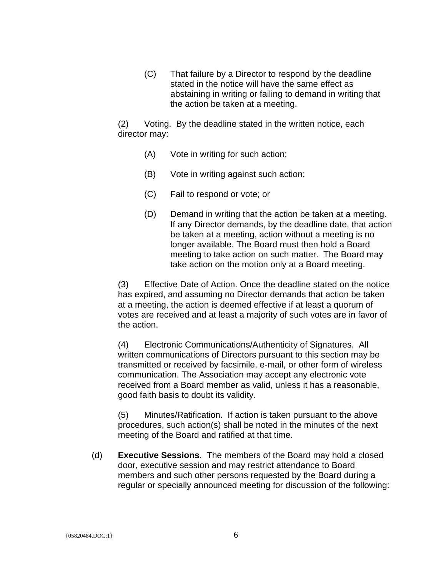(C) That failure by a Director to respond by the deadline stated in the notice will have the same effect as abstaining in writing or failing to demand in writing that the action be taken at a meeting.

(2) Voting. By the deadline stated in the written notice, each director may:

- (A) Vote in writing for such action;
- (B) Vote in writing against such action;
- (C) Fail to respond or vote; or
- (D) Demand in writing that the action be taken at a meeting. If any Director demands, by the deadline date, that action be taken at a meeting, action without a meeting is no longer available. The Board must then hold a Board meeting to take action on such matter. The Board may take action on the motion only at a Board meeting.

(3) Effective Date of Action. Once the deadline stated on the notice has expired, and assuming no Director demands that action be taken at a meeting, the action is deemed effective if at least a quorum of votes are received and at least a majority of such votes are in favor of the action.

(4) Electronic Communications/Authenticity of Signatures. All written communications of Directors pursuant to this section may be transmitted or received by facsimile, e-mail, or other form of wireless communication. The Association may accept any electronic vote received from a Board member as valid, unless it has a reasonable, good faith basis to doubt its validity.

(5) Minutes/Ratification. If action is taken pursuant to the above procedures, such action(s) shall be noted in the minutes of the next meeting of the Board and ratified at that time.

(d) **Executive Sessions**. The members of the Board may hold a closed door, executive session and may restrict attendance to Board members and such other persons requested by the Board during a regular or specially announced meeting for discussion of the following: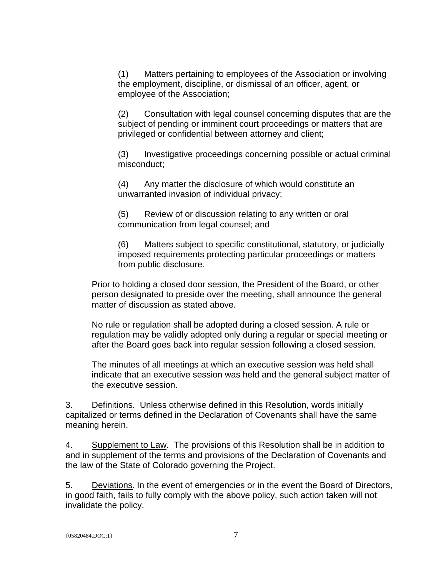(1) Matters pertaining to employees of the Association or involving the employment, discipline, or dismissal of an officer, agent, or employee of the Association;

(2) Consultation with legal counsel concerning disputes that are the subject of pending or imminent court proceedings or matters that are privileged or confidential between attorney and client;

(3) Investigative proceedings concerning possible or actual criminal misconduct;

(4) Any matter the disclosure of which would constitute an unwarranted invasion of individual privacy;

(5) Review of or discussion relating to any written or oral communication from legal counsel; and

(6) Matters subject to specific constitutional, statutory, or judicially imposed requirements protecting particular proceedings or matters from public disclosure.

Prior to holding a closed door session, the President of the Board, or other person designated to preside over the meeting, shall announce the general matter of discussion as stated above.

No rule or regulation shall be adopted during a closed session. A rule or regulation may be validly adopted only during a regular or special meeting or after the Board goes back into regular session following a closed session.

The minutes of all meetings at which an executive session was held shall indicate that an executive session was held and the general subject matter of the executive session.

3. Definitions. Unless otherwise defined in this Resolution, words initially capitalized or terms defined in the Declaration of Covenants shall have the same meaning herein.

4. Supplement to Law. The provisions of this Resolution shall be in addition to and in supplement of the terms and provisions of the Declaration of Covenants and the law of the State of Colorado governing the Project.

5. Deviations. In the event of emergencies or in the event the Board of Directors, in good faith, fails to fully comply with the above policy, such action taken will not invalidate the policy.